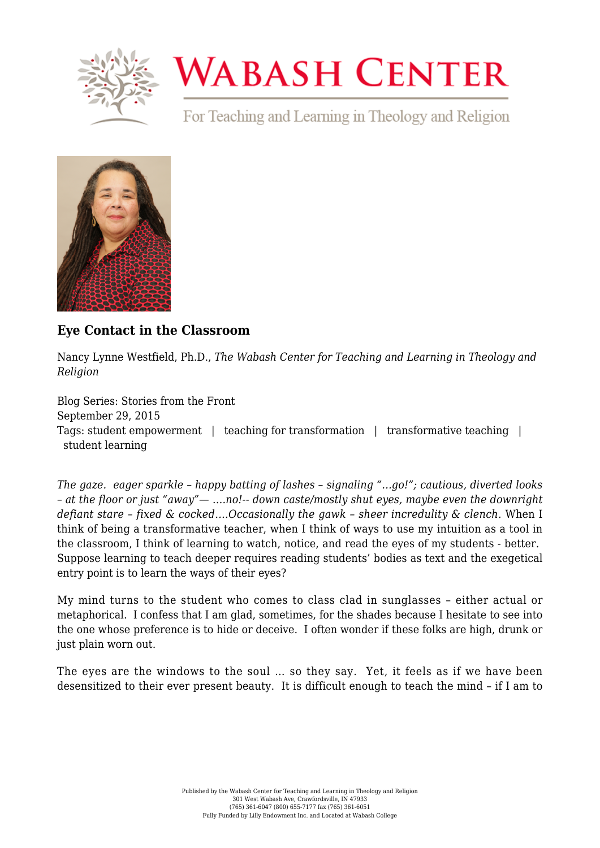

## **WABASH CENTER**

For Teaching and Learning in Theology and Religion



## **[Eye Contact in the Classroom](https://www.wabashcenter.wabash.edu/2015/09/eye-contact-in-the-classroom/)**

Nancy Lynne Westfield, Ph.D., *The Wabash Center for Teaching and Learning in Theology and Religion*

Blog Series: Stories from the Front September 29, 2015 Tags: student empowerment | teaching for transformation | transformative teaching | student learning

*The gaze. eager sparkle – happy batting of lashes – signaling "…go!"; cautious, diverted looks – at the floor or just "away"— ….no!-- down caste/mostly shut eyes, maybe even the downright defiant stare – fixed & cocked….Occasionally the gawk – sheer incredulity & clench.* When I think of being a transformative teacher, when I think of ways to use my intuition as a tool in the classroom, I think of learning to watch, notice, and read the eyes of my students - better. Suppose learning to teach deeper requires reading students' bodies as text and the exegetical entry point is to learn the ways of their eyes?

My mind turns to the student who comes to class clad in sunglasses – either actual or metaphorical. I confess that I am glad, sometimes, for the shades because I hesitate to see into the one whose preference is to hide or deceive. I often wonder if these folks are high, drunk or just plain worn out.

The eyes are the windows to the soul … so they say. Yet, it feels as if we have been desensitized to their ever present beauty. It is difficult enough to teach the mind – if I am to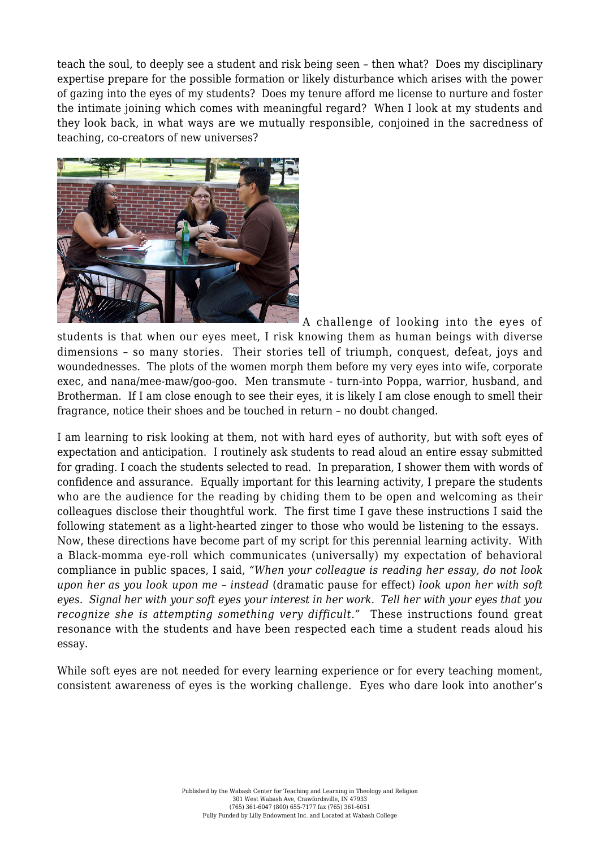teach the soul, to deeply see a student and risk being seen – then what? Does my disciplinary expertise prepare for the possible formation or likely disturbance which arises with the power of gazing into the eyes of my students? Does my tenure afford me license to nurture and foster the intimate joining which comes with meaningful regard? When I look at my students and they look back, in what ways are we mutually responsible, conjoined in the sacredness of teaching, co-creators of new universes?



A challenge of looking into the eyes of

students is that when our eyes meet, I risk knowing them as human beings with diverse dimensions – so many stories. Their stories tell of triumph, conquest, defeat, joys and woundednesses. The plots of the women morph them before my very eyes into wife, corporate exec, and nana/mee-maw/goo-goo. Men transmute - turn-into Poppa, warrior, husband, and Brotherman. If I am close enough to see their eyes, it is likely I am close enough to smell their fragrance, notice their shoes and be touched in return – no doubt changed.

I am learning to risk looking at them, not with hard eyes of authority, but with soft eyes of expectation and anticipation. I routinely ask students to read aloud an entire essay submitted for grading. I coach the students selected to read. In preparation, I shower them with words of confidence and assurance. Equally important for this learning activity, I prepare the students who are the audience for the reading by chiding them to be open and welcoming as their colleagues disclose their thoughtful work. The first time I gave these instructions I said the following statement as a light-hearted zinger to those who would be listening to the essays. Now, these directions have become part of my script for this perennial learning activity. With a Black-momma eye-roll which communicates (universally) my expectation of behavioral compliance in public spaces, I said, *"When your colleague is reading her essay, do not look upon her as you look upon me – instead* (dramatic pause for effect) *look upon her with soft eyes. Signal her with your soft eyes your interest in her work. Tell her with your eyes that you recognize she is attempting something very difficult."* These instructions found great resonance with the students and have been respected each time a student reads aloud his essay.

While soft eyes are not needed for every learning experience or for every teaching moment, consistent awareness of eyes is the working challenge. Eyes who dare look into another's